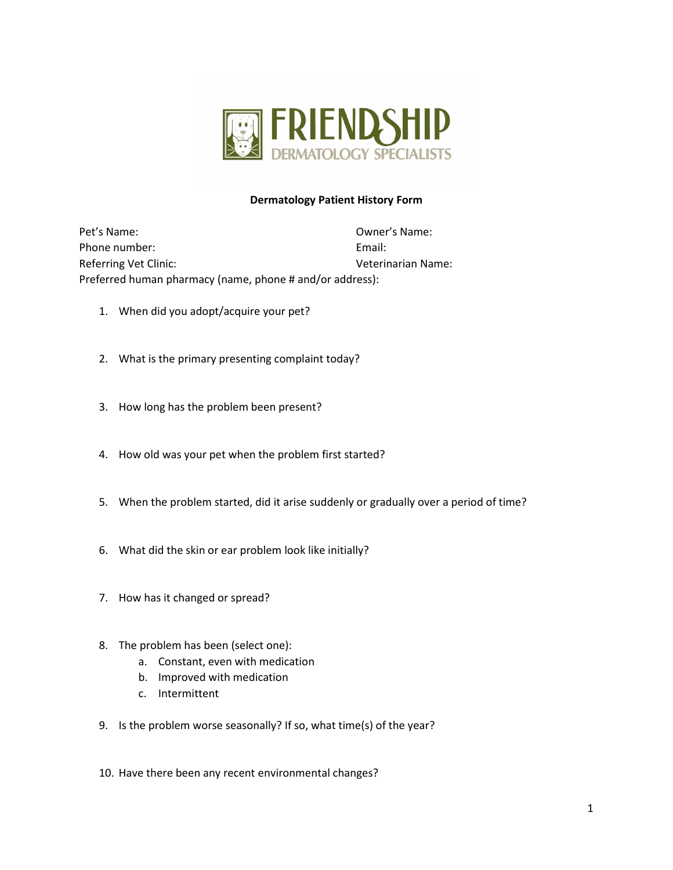

## **Dermatology Patient History Form**

Pet's Name: Owner's Name: Phone number: Email: Email: Email: Email: Email: Email: Email: Email: Email: Email: Email: Email: Email: Email: Email: Email: Email: Email: Email: Email: Email: Email: Email: Email: Email: Email: Email: Email: Email: Email Referring Vet Clinic: Veterinarian Name: Preferred human pharmacy (name, phone # and/or address):

- 1. When did you adopt/acquire your pet?
- 2. What is the primary presenting complaint today?
- 3. How long has the problem been present?
- 4. How old was your pet when the problem first started?
- 5. When the problem started, did it arise suddenly or gradually over a period of time?
- 6. What did the skin or ear problem look like initially?
- 7. How has it changed or spread?
- 8. The problem has been (select one):
	- a. Constant, even with medication
	- b. Improved with medication
	- c. Intermittent
- 9. Is the problem worse seasonally? If so, what time(s) of the year?
- 10. Have there been any recent environmental changes?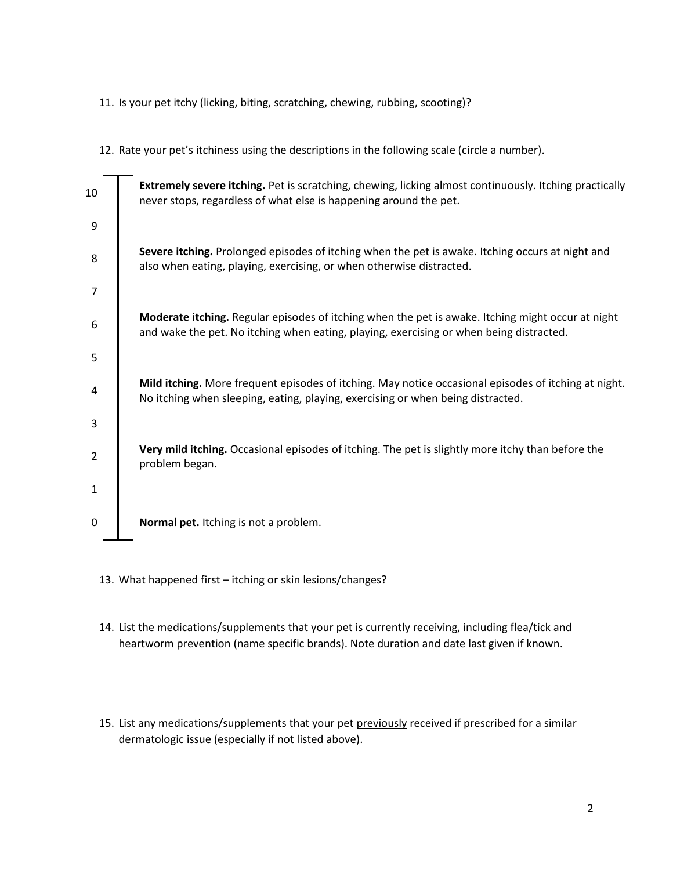- 11. Is your pet itchy (licking, biting, scratching, chewing, rubbing, scooting)?
- 12. Rate your pet's itchiness using the descriptions in the following scale (circle a number).

| 10       | Extremely severe itching. Pet is scratching, chewing, licking almost continuously. Itching practically<br>never stops, regardless of what else is happening around the pet.                  |
|----------|----------------------------------------------------------------------------------------------------------------------------------------------------------------------------------------------|
| 9        |                                                                                                                                                                                              |
| 8        | Severe itching. Prolonged episodes of itching when the pet is awake. Itching occurs at night and<br>also when eating, playing, exercising, or when otherwise distracted.                     |
| 7        |                                                                                                                                                                                              |
| 6        | Moderate itching. Regular episodes of itching when the pet is awake. Itching might occur at night<br>and wake the pet. No itching when eating, playing, exercising or when being distracted. |
| 5        |                                                                                                                                                                                              |
| 4        | Mild itching. More frequent episodes of itching. May notice occasional episodes of itching at night.<br>No itching when sleeping, eating, playing, exercising or when being distracted.      |
| 3        |                                                                                                                                                                                              |
| 2        | Very mild itching. Occasional episodes of itching. The pet is slightly more itchy than before the<br>problem began.                                                                          |
| 1        |                                                                                                                                                                                              |
| $\Omega$ | Normal pet. Itching is not a problem.                                                                                                                                                        |

- 13. What happened first itching or skin lesions/changes?
- 14. List the medications/supplements that your pet is currently receiving, including flea/tick and heartworm prevention (name specific brands). Note duration and date last given if known.
- 15. List any medications/supplements that your pet previously received if prescribed for a similar dermatologic issue (especially if not listed above).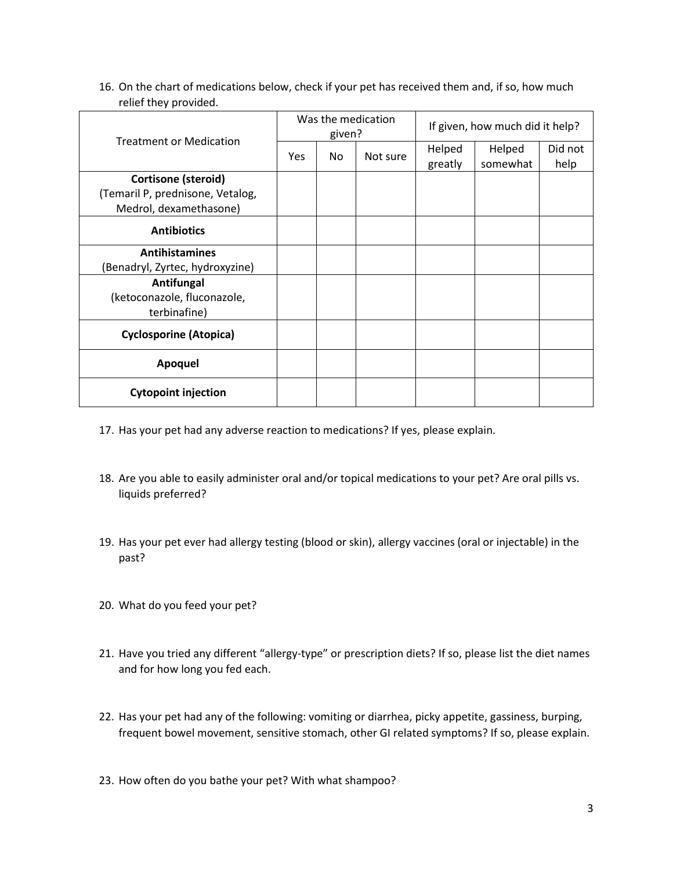16. On the chart of medications below, check if your pet has received them and, if so, how much relief they provided.

| <b>Treatment or Medication</b>   | Was the medication<br>given? |     |          | If given, how much did it help? |          |         |
|----------------------------------|------------------------------|-----|----------|---------------------------------|----------|---------|
|                                  | <b>Yes</b>                   | No. | Not sure | Helped                          | Helped   | Did not |
|                                  |                              |     |          | greatly                         | somewhat | help    |
| Cortisone (steroid)              |                              |     |          |                                 |          |         |
| (Temaril P, prednisone, Vetalog, |                              |     |          |                                 |          |         |
| Medrol, dexamethasone)           |                              |     |          |                                 |          |         |
| <b>Antibiotics</b>               |                              |     |          |                                 |          |         |
| <b>Antihistamines</b>            |                              |     |          |                                 |          |         |
| (Benadryl, Zyrtec, hydroxyzine)  |                              |     |          |                                 |          |         |
| Antifungal                       |                              |     |          |                                 |          |         |
| (ketoconazole, fluconazole,      |                              |     |          |                                 |          |         |
| terbinafine)                     |                              |     |          |                                 |          |         |
| <b>Cyclosporine (Atopica)</b>    |                              |     |          |                                 |          |         |
| <b>Apoquel</b>                   |                              |     |          |                                 |          |         |
| <b>Cytopoint injection</b>       |                              |     |          |                                 |          |         |

- 17. Has your pet had any adverse reaction to medications? If yes, please explain.
- 18. Are you able to easily administer oral and/or topical medications to your pet? Are oral pills vs. liquids preferred?
- 19. Has your pet ever had allergy testing (blood or skin), allergy vaccines (oral or injectable) in the past?
- 20. What do you feed your pet?
- 21. Have you tried any different "allergy-type" or prescription diets? If so, please list the diet names and for how long you fed each.
- 22. Has your pet had any of the following: vomiting or diarrhea, picky appetite, gassiness, burping, frequent bowel movement, sensitive stomach, other GI related symptoms? If so, please explain.
- 23. How often do you bathe your pet? With what shampoo?